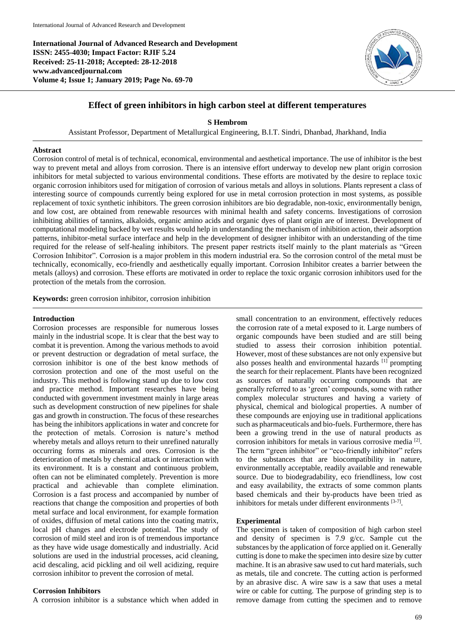**International Journal of Advanced Research and Development ISSN: 2455-4030; Impact Factor: RJIF 5.24 Received: 25-11-2018; Accepted: 28-12-2018 www.advancedjournal.com Volume 4; Issue 1; January 2019; Page No. 69-70**



# **Effect of green inhibitors in high carbon steel at different temperatures**

**S Hembrom**

Assistant Professor, Department of Metallurgical Engineering, B.I.T. Sindri, Dhanbad, Jharkhand, India

# **Abstract**

Corrosion control of metal is of technical, economical, environmental and aesthetical importance. The use of inhibitor is the best way to prevent metal and alloys from corrosion. There is an intensive effort underway to develop new plant origin corrosion inhibitors for metal subjected to various environmental conditions. These efforts are motivated by the desire to replace toxic organic corrosion inhibitors used for mitigation of corrosion of various metals and alloys in solutions. Plants represent a class of interesting source of compounds currently being explored for use in metal corrosion protection in most systems, as possible replacement of toxic synthetic inhibitors. The green corrosion inhibitors are bio degradable, non-toxic, environmentally benign, and low cost, are obtained from renewable resources with minimal health and safety concerns. Investigations of corrosion inhibiting abilities of tannins, alkaloids, organic amino acids and organic dyes of plant origin are of interest. Development of computational modeling backed by wet results would help in understanding the mechanism of inhibition action, their adsorption patterns, inhibitor-metal surface interface and help in the development of designer inhibitor with an understanding of the time required for the release of self-healing inhibitors. The present paper restricts itself mainly to the plant materials as "Green Corrosion Inhibitor". Corrosion is a major problem in this modern industrial era. So the corrosion control of the metal must be technically, economically, eco-friendly and aesthetically equally important. Corrosion Inhibitor creates a barrier between the metals (alloys) and corrosion. These efforts are motivated in order to replace the toxic organic corrosion inhibitors used for the protection of the metals from the corrosion.

**Keywords:** green corrosion inhibitor, corrosion inhibition

#### **Introduction**

Corrosion processes are responsible for numerous losses mainly in the industrial scope. It is clear that the best way to combat it is prevention. Among the various methods to avoid or prevent destruction or degradation of metal surface, the corrosion inhibitor is one of the best know methods of corrosion protection and one of the most useful on the industry. This method is following stand up due to low cost and practice method. Important researches have being conducted with government investment mainly in large areas such as development construction of new pipelines for shale gas and growth in construction. The focus of these researches has being the inhibitors applications in water and concrete for the protection of metals. Corrosion is nature's method whereby metals and alloys return to their unrefined naturally occurring forms as minerals and ores. Corrosion is the deterioration of metals by chemical attack or interaction with its environment. It is a constant and continuous problem, often can not be eliminated completely. Prevention is more practical and achievable than complete elimination. Corrosion is a fast process and accompanied by number of reactions that change the composition and properties of both metal surface and local environment, for example formation of oxides, diffusion of metal cations into the coating matrix, local pH changes and electrode potential. The study of corrosion of mild steel and iron is of tremendous importance as they have wide usage domestically and industrially. Acid solutions are used in the industrial processes, acid cleaning, acid descaling, acid pickling and oil well acidizing, require corrosion inhibitor to prevent the corrosion of metal.

## **Corrosion Inhibitors**

A corrosion inhibitor is a substance which when added in

small concentration to an environment, effectively reduces the corrosion rate of a metal exposed to it. Large numbers of organic compounds have been studied and are still being studied to assess their corrosion inhibition potential. However, most of these substances are not only expensive but also posses health and environmental hazards [1] prompting the search for their replacement. Plants have been recognized as sources of naturally occurring compounds that are generally referred to as 'green' compounds, some with rather complex molecular structures and having a variety of physical, chemical and biological properties. A number of these compounds are enjoying use in traditional applications such as pharmaceuticals and bio-fuels. Furthermore, there has been a growing trend in the use of natural products as corrosion inhibitors for metals in various corrosive media [2] . The term "green inhibitor" or "eco-friendly inhibitor" refers to the substances that are biocompatibility in nature, environmentally acceptable, readily available and renewable source. Due to biodegradability, eco friendliness, low cost and easy availability, the extracts of some common plants based chemicals and their by-products have been tried as inhibitors for metals under different environments  $[3-7]$ .

#### **Experimental**

The specimen is taken of composition of high carbon steel and density of specimen is 7.9 g/cc. Sample cut the substances by the application of force applied on it. Generally cutting is done to make the specimen into desire size by cutter machine. It is an abrasive saw used to cut hard materials, such as metals, tile and concrete. The cutting action is performed by an abrasive disc. A wire saw is a saw that uses a metal wire or cable for cutting. The purpose of grinding step is to remove damage from cutting the specimen and to remove